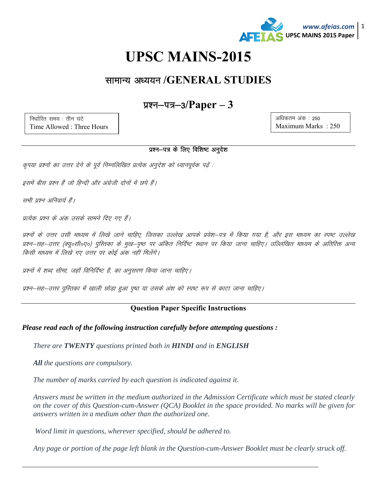

# **UPSC MAINS-2015**

## सामान्य अध्ययन /GENERAL STUDIES

### प्रश्न—पत्र—3/ $Paper - 3$

निर्धारित समय: तीन घंटे Time Allowed: Three Hours

#### अधिकतम अंक: 250 Maximum Marks: 250

#### प्रश्न-पत्र के लिए विशिष्ट अनुदेश

कृपया प्रश्नों का उत्तर देने के पूर्व निम्नलिखित प्रत्येक अनुदेश को ध्यानपूर्वक पढ़ें :

इसमें बीस प्रश्न हैं जो हिन्दी और अंग्रेजी दोनों में छपे हैं।

सभी प्रश्न अनिवार्य हैं।

प्रत्येक प्रश्न के अंक उसके सामने दिए गए है।

प्रश्नों के उत्तर उसी माध्यम में लिखे जाने चाहिए, जिसका उल्लेख आपके प्रवेश—पत्र में किया गया है, और इस माध्यम का स्पष्ट उल्लेख प्रश्न–सह–उत्तर (क्यू०सी०ए०) पुस्तिका के मुख–पृष्ठ पर अंकित निर्दिष्ट स्थान पर किया जाना चाहिए। उल्लिखित माध्यम के अतिरिक्त अन्य किसी माध्यम में लिखे गए उत्तर पर कोई अंक नहीं मिलेंगे।

प्रश्नों में शब्द सीमा, जहाँ विनिर्दिष्ट है, का अनुसरण किया जाना चाहिए।

प्रश्न–सह–उत्तर पुस्तिका में खाली छोड़ा हुआ पुष्ठ या उसके अंश को स्पष्ट रूप से काटा जाना चाहिए।

#### **Question Paper Specific Instructions**

#### Please read each of the following instruction carefully before attempting questions:

There are **TWENTY** questions printed both in **HINDI** and in **ENGLISH** 

**All** the questions are compulsory.

The number of marks carried by each question is indicated against it.

Answers must be written in the medium authorized in the Admission Certificate which must be stated clearly on the cover of this Question-cum-Answer (QCA) Booklet in the space provided. No marks will be given for answers written in a medium other than the authorized one.

Word limit in questions, wherever specified, should be adhered to.

Any page or portion of the page left blank in the Question-cum-Answer Booklet must be clearly struck off.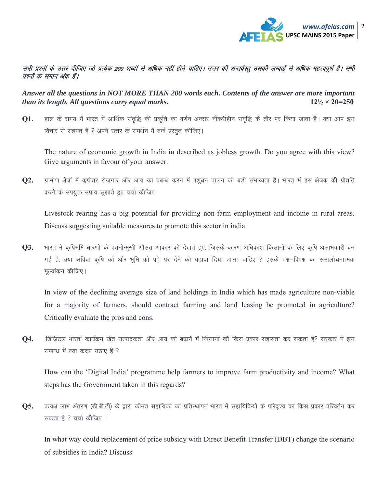

#### सभी प्रश्नों के उत्तर दीजिए जो प्रत्येक 200 शब्दों से अधिक नहीं होने चाहिए। उत्तर की अन्तर्वस्तु उसकी लम्बाई से अधिक महत्त्वपूर्ण है। सभी प्रश्नों के समान अंक हैं।

*Answer all the questions in NOT MORE THAN 200 words each. Contents of the answer are more important than its length. All questions carry equal marks.* **12½ × 20=250 12½ × 20=250** 

**Q1.** हाल के समय में भारत में आर्थिक संवृद्धि की प्रकृति का वर्णन अक्सर नौकरीहीन संवृद्धि के तौर पर किया जाता है। क्या आप इस विचार से सहमत हैं ? अपने उत्तर के समर्थन में तर्क प्रस्तुत कीजिए।

The nature of economic growth in India in described as jobless growth. Do you agree with this view? Give arguments in favour of your answer.

Q2. ग्रामीण क्षेत्रों में कृषीतर रोजगार और आय का प्रबन्ध करने में पशुधन पालन की बड़ी संभाव्यता है। भारत में इस क्षेत्रक की प्रोन्नति करने के उपयुक्त उपाय सुझाते हुए चर्चा कीजिए।

Livestock rearing has a big potential for providing non-farm employment and income in rural areas. Discuss suggesting suitable measures to promote this sector in india.

**Q3.** भारत में कृषिभूमि धारणों के पतनोन्मुखी औसत आकार को देखते हुए, जिसके कारण अधिकांश किसानों के लिए कृषि अलाभकारी बन गई है, क्या संविदा कृषि को और भूमि को पट्टे पर देने को बढ़ावा दिया जाना चाहिए ? इसके पक्ष—विपक्ष का समालोचनात्मक मुल्यांकन कीजिए।

In view of the declining average size of land holdings in India which has made agriculture non-viable for a majority of farmers, should contract farming and land leasing be promoted in agriculture? Critically evaluate the pros and cons.

**Q4.** 'डिजिटल भारत' कार्यक्रम खेत उत्पादकता और आय को बढाने में किसानों की किस प्रकार सहायता कर सकता है? सरकार ने इस सम्बन्ध में क्या कदम उठाए हैं ?

How can the 'Digital India' programme help farmers to improve farm productivity and income? What steps has the Government taken in this regards?

**Q5.** प्रत्यक्ष लाभ अंतरण (डी.बी.टी) के द्वारा कीमत सहायिकी का प्रतिस्थापन भारत में सहायिकियों के परिदृश्य का किस प्रकार परिवर्तन कर सकता है ? चर्चा कीजिए।

In what way could replacement of price subsidy with Direct Benefit Transfer (DBT) change the scenario of subsidies in India? Discuss.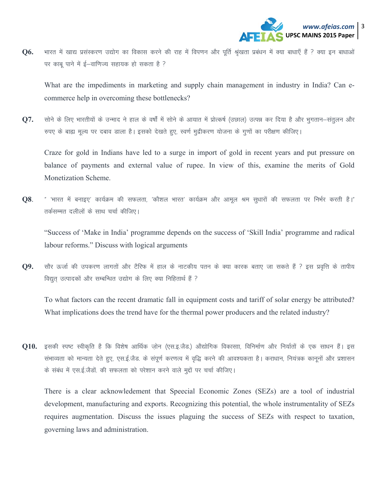

भारत में खाद्य प्रसंस्करण उद्योग का विकास करने की राह में विपणन और पूर्ति श्रृंखता प्रबंधन में क्या बाधाएँ हैं ? क्या इन बाधाओं **Q6.** पर काबू पाने में ई–वाणिज्य सहायक हो सकता है ?

What are the impediments in marketing and supply chain management in industry in India? Can ecommerce help in overcoming these bottlenecks?

सोने के लिए भारतीयों के उन्माद ने हाल के वर्षों में सोने के आयात में प्रोत्कर्ष (उछाल) उत्पन्न कर दिया है और भुगतान–संतूलन और **Q7.** रुपए के बाह्य मूल्य पर दबाव डाला है। इसको देखते हुए, स्वर्ण मुद्रीकरण योजना के गुणों का परीक्षण कीजिए।

Craze for gold in Indians have led to a surge in import of gold in recent years and put pressure on balance of payments and external value of rupee. In view of this, examine the merits of Gold Monetization Scheme.

Q8. " 'भारत में बनाइए' कार्यक्रम की सफलता, 'कौशल भारत' कार्यक्रम और आमूल श्रम सूधारों की सफलता पर निर्भर करती है।" तर्कसम्मत दलीलों के साथ चर्चा कीजिए।

"Success of 'Make in India' programme depends on the success of 'Skill India' programme and radical labour reforms." Discuss with logical arguments

सौर ऊर्जा की उपकरण लागतों और टैरिफ में हाल के नाटकीय पतन के क्या कारक बताए जा सकते हैं ? इस प्रवृत्ति के तापीय Q9. विद्युत उत्पादकों और सम्बन्धित उद्योग के लिए क्या निहितार्थ हैं ?

To what factors can the recent dramatic fall in equipment costs and tariff of solar energy be attributed? What implications does the trend have for the thermal power producers and the related industry?

Q10. इसकी स्पष्ट स्वीकृति है कि विशेष आर्थिक जोन (एस.इ.जैड.) औद्योगिक विकासाा, विनिर्माण और निर्यातों के एक साधन हैं। इस संभाव्यता को मान्यता देते हुए, एस.ई.जैड. के संपूर्ण करणत्व में वृद्धि करने की आवश्यकता है। कराधान, नियंत्रक कानूनों और प्रशासन के संबंध में एस.ई.जैड़ों. की सफलता को परेशान करने वाले मुद्दों पर चर्चा कीजिए।

There is a clear acknowledement that Speecial Economic Zones (SEZs) are a tool of industrial development, manufacturing and exports. Recognizing this potential, the whole instrumentality of SEZs requires augmentation. Discuss the issues plaguing the success of SEZs with respect to taxation, governing laws and administration.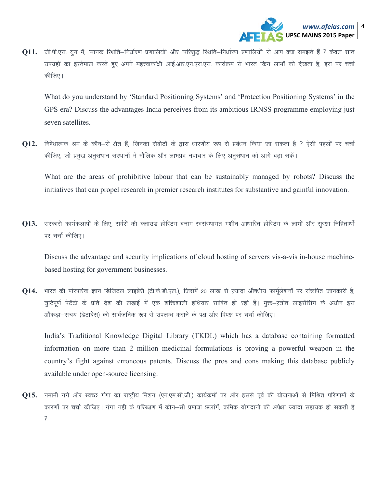

011. जी.पी.एस. यूग में, 'मानक स्थिति–निर्धारण प्रणालियों' और 'परिशुद्ध स्थिति–निर्धारण प्रणालियों' से आप क्या समझते हैं ? केवल सात उपग्रहों का इस्तेमाल करते हुए अपने महत्त्वाकांक्षी आई.आर.एन.एस.एस. कार्यक्रम से भारत किन लाभों को देखता है, इस पर चर्चा कीजिए।

What do you understand by 'Standard Positioning Systems' and 'Protection Positioning Systems' in the GPS era? Discuss the advantages India perceives from its ambitious IRNSS programme employing just seven satellites.

**Q12.** निषेधात्मक श्रम के कौन–से क्षेत्र हैं, जिनका रोबोटों के द्वारा धारणीय रूप से प्रबंधन किया जा सकता है ? ऐसी पहलों पर चर्चा कीजिए, जो प्रमुख अनुसंधान संस्थानों में मौलिक और लाभप्रद नवाचार के लिए अनुसंधान को आगे बढ़ा सकें।

What are the areas of prohibitive labour that can be sustainably managed by robots? Discuss the initiatives that can propel research in premier research institutes for substantive and gainful innovation.

Q13. सरकारी कार्यकलापों के लिए, सर्वरों की क्लाउड होस्टिंग बनाम स्वसंस्थागत मशीन आधारित होस्टिंग के लाभों और सुरक्षा निहितार्थों पर चर्चा कीजिए।

Discuss the advantage and security implications of cloud hosting of servers vis-a-vis in-house machinebased hosting for government businesses.

भारत की पारपरिक ज्ञान डिजिटल लाइब्रेरी (टी.के.डी.एल.), जिसमें 20 लाख से ज़्यादा औषधीय फार्मूलेशनों पर सरूपित जानकारी है, Q14. त्रूटिपूर्ण पेटेंटों के प्रति देश की लड़ाई में एक शक्तिशाली हथियार साबित हो रही है। मुक्त-स्त्रोत लाइसेंसिंग के अधीन इस ऑंकड़ा-संचय (डेटाबेस) को सार्वजनिक रूप से उपलब्ध कराने के पक्ष और विपक्ष पर चर्चा कीजिए।

India's Traditional Knowledge Digital Library (TKDL) which has a database containing formatted information on more than 2 million medicinal formulations is proving a powerful weapon in the country's fight against erroneous patents. Discuss the pros and cons making this database publicly available under open-source licensing.

Q15. नमामी गंगे और स्वच्छ गंगा का राष्ट्रीय मिशन (एन.एम.सी.जी.) कार्यक्रमों पर और इससे पूर्व की योजनाओं से मिश्रित परिणामों के कारणों पर चर्चा कीजिए। गंगा नही के परिरक्षण में कौन–सी प्रमात्रा छलांगें, क्रमिक योगदानों की अपेक्षा ज्यादा सहायक हो सकती हैं  $\mathcal{L}$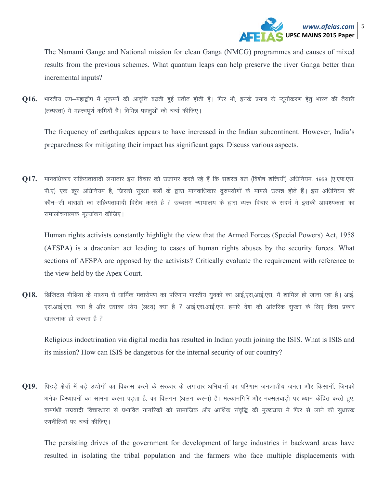

The Namami Gange and National mission for clean Ganga (NMCG) programmes and causes of mixed results from the previous schemes. What quantum leaps can help preserve the river Ganga better than incremental inputs?

**Q16.** भारतीय उप–महाद्वीप में भूकम्पों की आवृत्ति बढ़ती हुई प्रतीत होती है। फिर भी, इनके प्रभाव के न्यूनीकरण हेतू भारत की तैयारी (तत्परता) में महत्त्वपूर्ण कमियाँ हैं। विभिन्न पहलुओं की चर्चा कीजिए।

The frequency of earthquakes appears to have increased in the Indian subcontinent. However, India's preparedness for mitigating their impact has significant gaps. Discuss various aspects.

**Q17.** मानवधिकार सक्रियतावादी लगातार इस विचार को उजागर करते रहे हैं कि सशस्त्र बल (विशेष शक्तियाँ) अधिनियम, 1958 (ए.एफ.एस. पी.ए) एक क्रूर अधिनियम है, जिससे सुरक्षा बलों के द्वारा मानवाधिकार दुरुपयोगों के मामले उत्पन्न होते हैं। इस अधिनियम की कौन–सी धाराओं का सक्रियतावादी विरोध करते हैं ? उच्चतम न्यायालय के द्वारा व्यक्त विचार के संदर्भ में इसकी आवश्यकता का समालोचनात्मक मूल्यांकन कीजिए।

Human rights activists constantly highlight the view that the Armed Forces (Special Powers) Act, 1958 (AFSPA) is a draconian act leading to cases of human rights abuses by the security forces. What sections of AFSPA are opposed by the activists? Critically evaluate the requirement with reference to the view held by the Apex Court.

**Q18.** डिजिटल मीडिया के माध्यम से धार्मिक मतारोपण का परिणाम भारतीय युवकों का आई,एस,आई,एस, में शामिल हो जाना रहा है। आई. एस.आई.एस. क्या है और उसका ध्येय (लक्ष्य) क्या है ? आई.एस.आई.एस. हमारे देश की आंतरिक सुरक्षा के लिए किस प्रकार खतरनाक हो सकता है ?

Religious indoctrination via digital media has resulted in Indian youth joining the ISIS. What is ISIS and its mission? How can ISIS be dangerous for the internal security of our country?

**Q19.** पिछडे क्षेत्रों में बडे उद्योगों का विकास करने के सरकार के लगातार अभियानों का परिणाम जनजातीय जनता और किसानों, जिनको अनेक विस्थापनों का सामना करना पड़ता है, का विलगन (अलग करना) है। मल्कानगिरि और नक्सलबाड़ी पर ध्यान केंद्रित करते हुए, वामपंथी उग्रवादी विचारधारा से प्रभावित नागरिकों को सामाजिक और आर्थिक संवृद्धि की मुख्यधारा में फिर से लाने की सुधारक रणनीतियों पर चर्चा कीजिए।

The persisting drives of the government for development of large industries in backward areas have resulted in isolating the tribal population and the farmers who face multiple displacements with